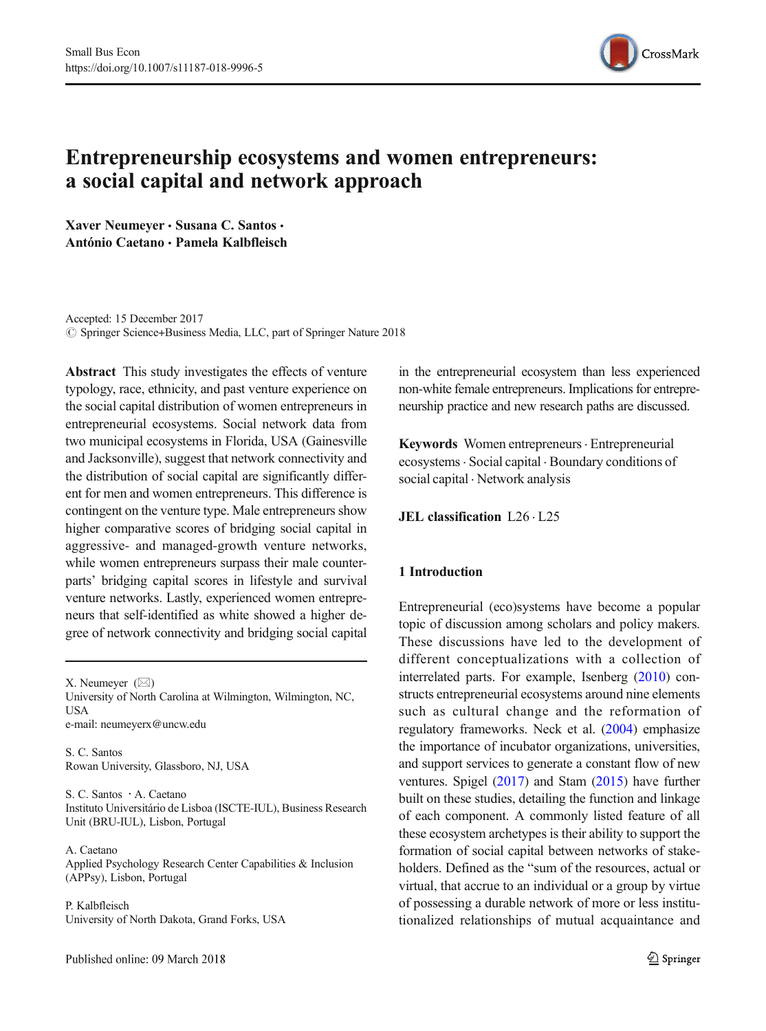

# Entrepreneurship ecosystems and women entrepreneurs: a social capital and network approach

Xaver Neumeyer · Susana C. Santos · António Caetano · Pamela Kalbfleisch

Accepted: 15 December 2017 © Springer Science+Business Media, LLC, part of Springer Nature 2018

Abstract This study investigates the effects of venture typology, race, ethnicity, and past venture experience on the social capital distribution of women entrepreneurs in entrepreneurial ecosystems. Social network data from two municipal ecosystems in Florida, USA (Gainesville and Jacksonville), suggest that network connectivity and the distribution of social capital are significantly different for men and women entrepreneurs. This difference is contingent on the venture type. Male entrepreneurs show higher comparative scores of bridging social capital in aggressive- and managed-growth venture networks, while women entrepreneurs surpass their male counterparts' bridging capital scores in lifestyle and survival venture networks. Lastly, experienced women entrepreneurs that self-identified as white showed a higher degree of network connectivity and bridging social capital

X. Neumeyer  $(\boxtimes)$ University of North Carolina at Wilmington, Wilmington, NC, USA e-mail: neumeyerx@uncw.edu

S. C. Santos Rowan University, Glassboro, NJ, USA

S. C. Santos · A. Caetano Instituto Universitário de Lisboa (ISCTE-IUL), Business Research Unit (BRU-IUL), Lisbon, Portugal

A. Caetano Applied Psychology Research Center Capabilities & Inclusion (APPsy), Lisbon, Portugal

P. Kalbfleisch University of North Dakota, Grand Forks, USA in the entrepreneurial ecosystem than less experienced non-white female entrepreneurs. Implications for entrepreneurship practice and new research paths are discussed.

Keywords Women entrepreneurs · Entrepreneurial ecosystems. Social capital . Boundary conditions of social capital . Network analysis

JEL classification L26 . L25

# 1 Introduction

Entrepreneurial (eco)systems have become a popular topic of discussion among scholars and policy makers. These discussions have led to the development of different conceptualizations with a collection of interrelated parts. For example, Isenberg [\(2010\)](#page-13-0) constructs entrepreneurial ecosystems around nine elements such as cultural change and the reformation of regulatory frameworks. Neck et al. ([2004](#page-14-0)) emphasize the importance of incubator organizations, universities, and support services to generate a constant flow of new ventures. Spigel [\(2017\)](#page-14-0) and Stam ([2015](#page-14-0)) have further built on these studies, detailing the function and linkage of each component. A commonly listed feature of all these ecosystem archetypes is their ability to support the formation of social capital between networks of stakeholders. Defined as the "sum of the resources, actual or virtual, that accrue to an individual or a group by virtue of possessing a durable network of more or less institutionalized relationships of mutual acquaintance and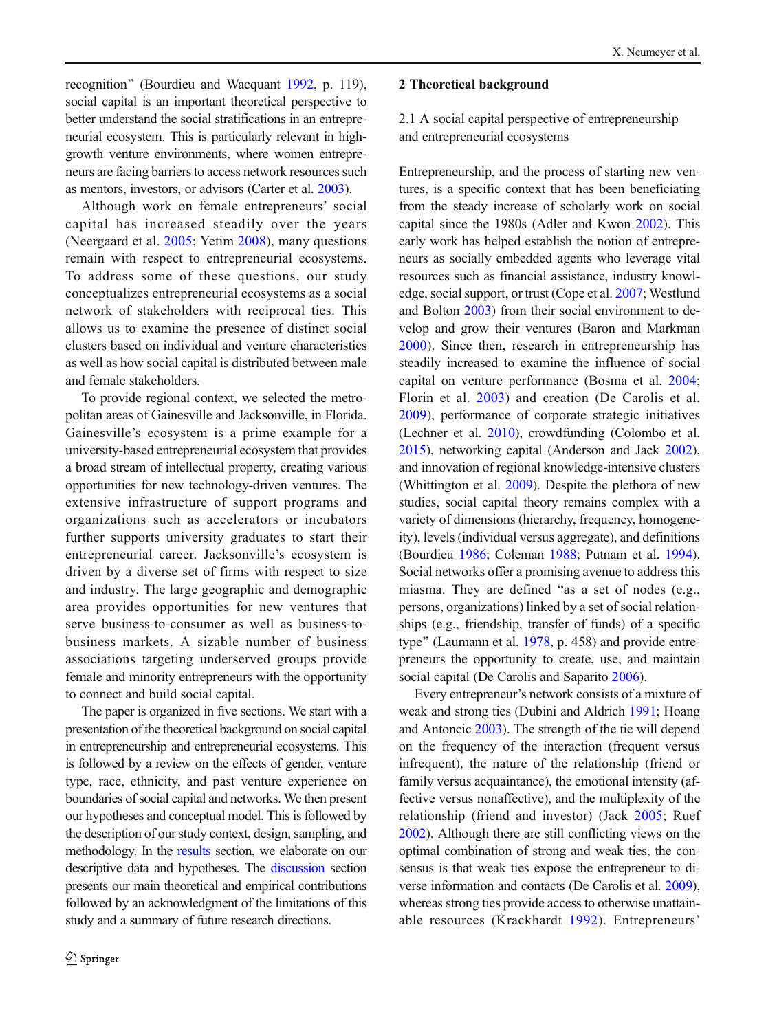recognition" (Bourdieu and Wacquant [1992](#page-12-0), p. 119), social capital is an important theoretical perspective to better understand the social stratifications in an entrepreneurial ecosystem. This is particularly relevant in highgrowth venture environments, where women entrepreneurs are facing barriers to access network resources such as mentors, investors, or advisors (Carter et al. [2003](#page-13-0)).

Although work on female entrepreneurs' social capital has increased steadily over the years (Neergaard et al. [2005;](#page-14-0) Yetim [2008](#page-14-0)), many questions remain with respect to entrepreneurial ecosystems. To address some of these questions, our study conceptualizes entrepreneurial ecosystems as a social network of stakeholders with reciprocal ties. This allows us to examine the presence of distinct social clusters based on individual and venture characteristics as well as how social capital is distributed between male and female stakeholders.

To provide regional context, we selected the metropolitan areas of Gainesville and Jacksonville, in Florida. Gainesville's ecosystem is a prime example for a university-based entrepreneurial ecosystem that provides a broad stream of intellectual property, creating various opportunities for new technology-driven ventures. The extensive infrastructure of support programs and organizations such as accelerators or incubators further supports university graduates to start their entrepreneurial career. Jacksonville's ecosystem is driven by a diverse set of firms with respect to size and industry. The large geographic and demographic area provides opportunities for new ventures that serve business-to-consumer as well as business-tobusiness markets. A sizable number of business associations targeting underserved groups provide female and minority entrepreneurs with the opportunity to connect and build social capital.

The paper is organized in five sections. We start with a presentation of the theoretical background on social capital in entrepreneurship and entrepreneurial ecosystems. This is followed by a review on the effects of gender, venture type, race, ethnicity, and past venture experience on boundaries of social capital and networks. We then present our hypotheses and conceptual model. This is followed by the description of our study context, design, sampling, and methodology. In the [results](#page-7-0) section, we elaborate on our descriptive data and hypotheses. The [discussion](#page-8-0) section presents our main theoretical and empirical contributions followed by an acknowledgment of the limitations of this study and a summary of future research directions.

# 2 Theoretical background

# 2.1 A social capital perspective of entrepreneurship and entrepreneurial ecosystems

Entrepreneurship, and the process of starting new ventures, is a specific context that has been beneficiating from the steady increase of scholarly work on social capital since the 1980s (Adler and Kwon [2002\)](#page-12-0). This early work has helped establish the notion of entrepreneurs as socially embedded agents who leverage vital resources such as financial assistance, industry knowledge, social support, or trust (Cope et al. [2007](#page-13-0); Westlund and Bolton [2003](#page-14-0)) from their social environment to develop and grow their ventures (Baron and Markman [2000](#page-12-0)). Since then, research in entrepreneurship has steadily increased to examine the influence of social capital on venture performance (Bosma et al. [2004;](#page-12-0) Florin et al. [2003\)](#page-13-0) and creation (De Carolis et al. [2009\)](#page-13-0), performance of corporate strategic initiatives (Lechner et al. [2010\)](#page-13-0), crowdfunding (Colombo et al. [2015](#page-13-0)), networking capital (Anderson and Jack [2002\)](#page-12-0), and innovation of regional knowledge-intensive clusters (Whittington et al. [2009\)](#page-14-0). Despite the plethora of new studies, social capital theory remains complex with a variety of dimensions (hierarchy, frequency, homogeneity), levels (individual versus aggregate), and definitions (Bourdieu [1986](#page-12-0); Coleman [1988;](#page-13-0) Putnam et al. [1994\)](#page-14-0). Social networks offer a promising avenue to address this miasma. They are defined "as a set of nodes (e.g., persons, organizations) linked by a set of social relationships (e.g., friendship, transfer of funds) of a specific type" (Laumann et al. [1978](#page-13-0), p. 458) and provide entrepreneurs the opportunity to create, use, and maintain social capital (De Carolis and Saparito [2006\)](#page-13-0).

Every entrepreneur's network consists of a mixture of weak and strong ties (Dubini and Aldrich [1991;](#page-13-0) Hoang and Antoncic [2003\)](#page-13-0). The strength of the tie will depend on the frequency of the interaction (frequent versus infrequent), the nature of the relationship (friend or family versus acquaintance), the emotional intensity (affective versus nonaffective), and the multiplexity of the relationship (friend and investor) (Jack [2005;](#page-13-0) Ruef [2002](#page-14-0)). Although there are still conflicting views on the optimal combination of strong and weak ties, the consensus is that weak ties expose the entrepreneur to diverse information and contacts (De Carolis et al. [2009\)](#page-13-0), whereas strong ties provide access to otherwise unattainable resources (Krackhardt [1992](#page-13-0)). Entrepreneurs'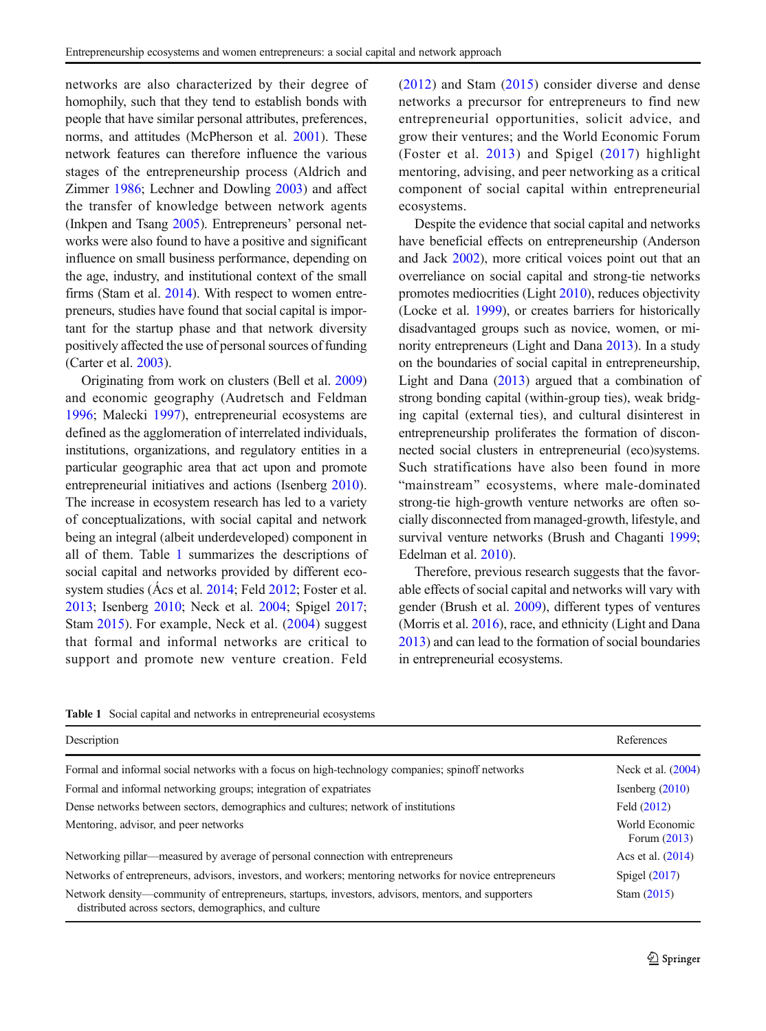networks are also characterized by their degree of homophily, such that they tend to establish bonds with people that have similar personal attributes, preferences, norms, and attitudes (McPherson et al. [2001](#page-14-0)). These network features can therefore influence the various stages of the entrepreneurship process (Aldrich and Zimmer [1986;](#page-12-0) Lechner and Dowling [2003](#page-13-0)) and affect the transfer of knowledge between network agents (Inkpen and Tsang [2005\)](#page-13-0). Entrepreneurs' personal networks were also found to have a positive and significant influence on small business performance, depending on the age, industry, and institutional context of the small firms (Stam et al. [2014](#page-14-0)). With respect to women entrepreneurs, studies have found that social capital is important for the startup phase and that network diversity positively affected the use of personal sources of funding (Carter et al. [2003](#page-13-0)).

Originating from work on clusters (Bell et al. [2009\)](#page-12-0) and economic geography (Audretsch and Feldman [1996;](#page-12-0) Malecki [1997](#page-14-0)), entrepreneurial ecosystems are defined as the agglomeration of interrelated individuals, institutions, organizations, and regulatory entities in a particular geographic area that act upon and promote entrepreneurial initiatives and actions (Isenberg [2010\)](#page-13-0). The increase in ecosystem research has led to a variety of conceptualizations, with social capital and network being an integral (albeit underdeveloped) component in all of them. Table 1 summarizes the descriptions of social capital and networks provided by different eco-system studies (Ács et al. [2014](#page-12-0); Feld [2012;](#page-13-0) Foster et al. [2013](#page-13-0); Isenberg [2010;](#page-13-0) Neck et al. [2004;](#page-14-0) Spigel [2017](#page-14-0); Stam [2015\)](#page-14-0). For example, Neck et al. [\(2004](#page-14-0)) suggest that formal and informal networks are critical to support and promote new venture creation. Feld

[\(2012\)](#page-13-0) and Stam [\(2015\)](#page-14-0) consider diverse and dense networks a precursor for entrepreneurs to find new entrepreneurial opportunities, solicit advice, and grow their ventures; and the World Economic Forum (Foster et al. [2013\)](#page-13-0) and Spigel [\(2017\)](#page-14-0) highlight mentoring, advising, and peer networking as a critical component of social capital within entrepreneurial ecosystems.

Despite the evidence that social capital and networks have beneficial effects on entrepreneurship (Anderson and Jack [2002\)](#page-12-0), more critical voices point out that an overreliance on social capital and strong-tie networks promotes mediocrities (Light [2010](#page-13-0)), reduces objectivity (Locke et al. [1999\)](#page-13-0), or creates barriers for historically disadvantaged groups such as novice, women, or minority entrepreneurs (Light and Dana [2013\)](#page-13-0). In a study on the boundaries of social capital in entrepreneurship, Light and Dana ([2013](#page-13-0)) argued that a combination of strong bonding capital (within-group ties), weak bridging capital (external ties), and cultural disinterest in entrepreneurship proliferates the formation of disconnected social clusters in entrepreneurial (eco)systems. Such stratifications have also been found in more "mainstream" ecosystems, where male-dominated strong-tie high-growth venture networks are often socially disconnected from managed-growth, lifestyle, and survival venture networks (Brush and Chaganti [1999;](#page-12-0) Edelman et al. [2010](#page-13-0)).

Therefore, previous research suggests that the favorable effects of social capital and networks will vary with gender (Brush et al. [2009](#page-13-0)), different types of ventures (Morris et al. [2016\)](#page-14-0), race, and ethnicity (Light and Dana [2013](#page-13-0)) and can lead to the formation of social boundaries in entrepreneurial ecosystems.

Table 1 Social capital and networks in entrepreneurial ecosystems

| Description                                                                                                                                                 | References                       |
|-------------------------------------------------------------------------------------------------------------------------------------------------------------|----------------------------------|
| Formal and informal social networks with a focus on high-technology companies; spinoff networks                                                             | Neck et al. (2004)               |
| Formal and informal networking groups; integration of expatriates                                                                                           | Isenberg $(2010)$                |
| Dense networks between sectors, demographics and cultures; network of institutions                                                                          | Feld (2012)                      |
| Mentoring, advisor, and peer networks                                                                                                                       | World Economic<br>Forum $(2013)$ |
| Networking pillar—measured by average of personal connection with entrepreneurs                                                                             | Acs et al. (2014)                |
| Networks of entrepreneurs, advisors, investors, and workers; mentoring networks for novice entrepreneurs                                                    | Spigel $(2017)$                  |
| Network density—community of entrepreneurs, startups, investors, advisors, mentors, and supporters<br>distributed across sectors, demographics, and culture | Stam $(2015)$                    |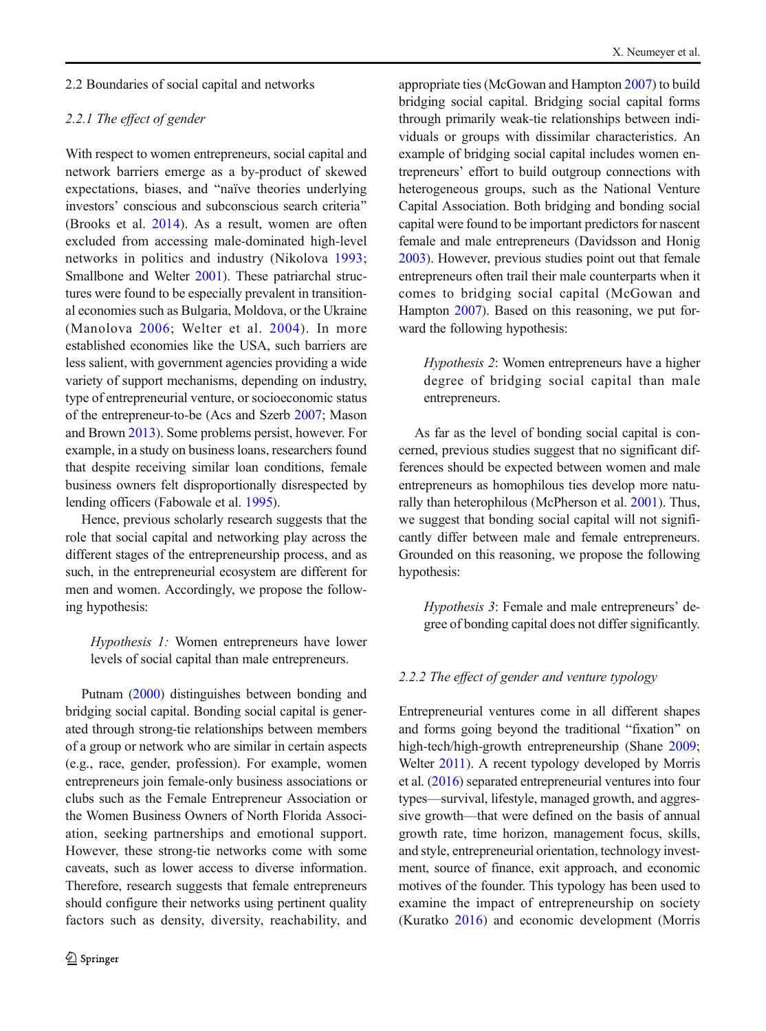2.2 Boundaries of social capital and networks

#### 2.2.1 The effect of gender

With respect to women entrepreneurs, social capital and network barriers emerge as a by-product of skewed expectations, biases, and "naïve theories underlying investors' conscious and subconscious search criteria" (Brooks et al. [2014\)](#page-12-0). As a result, women are often excluded from accessing male-dominated high-level networks in politics and industry (Nikolova [1993](#page-14-0); Smallbone and Welter [2001](#page-14-0)). These patriarchal structures were found to be especially prevalent in transitional economies such as Bulgaria, Moldova, or the Ukraine (Manolova [2006;](#page-14-0) Welter et al. [2004\)](#page-14-0). In more established economies like the USA, such barriers are less salient, with government agencies providing a wide variety of support mechanisms, depending on industry, type of entrepreneurial venture, or socioeconomic status of the entrepreneur-to-be (Acs and Szerb [2007;](#page-12-0) Mason and Brown [2013](#page-14-0)). Some problems persist, however. For example, in a study on business loans, researchers found that despite receiving similar loan conditions, female business owners felt disproportionally disrespected by lending officers (Fabowale et al. [1995\)](#page-13-0).

Hence, previous scholarly research suggests that the role that social capital and networking play across the different stages of the entrepreneurship process, and as such, in the entrepreneurial ecosystem are different for men and women. Accordingly, we propose the following hypothesis:

Hypothesis 1: Women entrepreneurs have lower levels of social capital than male entrepreneurs.

Putnam ([2000](#page-14-0)) distinguishes between bonding and bridging social capital. Bonding social capital is generated through strong-tie relationships between members of a group or network who are similar in certain aspects (e.g., race, gender, profession). For example, women entrepreneurs join female-only business associations or clubs such as the Female Entrepreneur Association or the Women Business Owners of North Florida Association, seeking partnerships and emotional support. However, these strong-tie networks come with some caveats, such as lower access to diverse information. Therefore, research suggests that female entrepreneurs should configure their networks using pertinent quality factors such as density, diversity, reachability, and

appropriate ties (McGowan and Hampton [2007\)](#page-14-0) to build bridging social capital. Bridging social capital forms through primarily weak-tie relationships between individuals or groups with dissimilar characteristics. An example of bridging social capital includes women entrepreneurs' effort to build outgroup connections with heterogeneous groups, such as the National Venture Capital Association. Both bridging and bonding social capital were found to be important predictors for nascent female and male entrepreneurs (Davidsson and Honig [2003](#page-13-0)). However, previous studies point out that female entrepreneurs often trail their male counterparts when it comes to bridging social capital (McGowan and Hampton [2007](#page-14-0)). Based on this reasoning, we put forward the following hypothesis:

Hypothesis 2: Women entrepreneurs have a higher degree of bridging social capital than male entrepreneurs.

As far as the level of bonding social capital is concerned, previous studies suggest that no significant differences should be expected between women and male entrepreneurs as homophilous ties develop more naturally than heterophilous (McPherson et al. [2001](#page-14-0)). Thus, we suggest that bonding social capital will not significantly differ between male and female entrepreneurs. Grounded on this reasoning, we propose the following hypothesis:

Hypothesis 3: Female and male entrepreneurs' degree of bonding capital does not differ significantly.

## 2.2.2 The effect of gender and venture typology

Entrepreneurial ventures come in all different shapes and forms going beyond the traditional "fixation" on high-tech/high-growth entrepreneurship (Shane [2009;](#page-14-0) Welter [2011](#page-14-0)). A recent typology developed by Morris et al. ([2016](#page-14-0)) separated entrepreneurial ventures into four types—survival, lifestyle, managed growth, and aggressive growth—that were defined on the basis of annual growth rate, time horizon, management focus, skills, and style, entrepreneurial orientation, technology investment, source of finance, exit approach, and economic motives of the founder. This typology has been used to examine the impact of entrepreneurship on society (Kuratko [2016](#page-13-0)) and economic development (Morris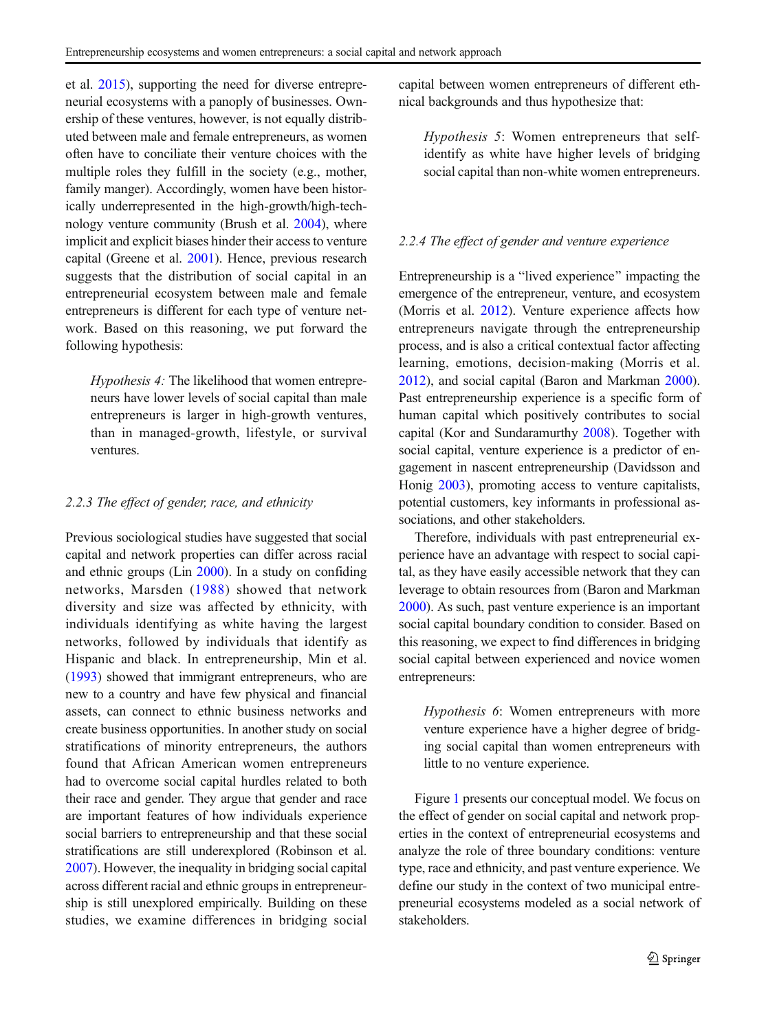et al. [2015\)](#page-14-0), supporting the need for diverse entrepreneurial ecosystems with a panoply of businesses. Ownership of these ventures, however, is not equally distributed between male and female entrepreneurs, as women often have to conciliate their venture choices with the multiple roles they fulfill in the society (e.g., mother, family manger). Accordingly, women have been historically underrepresented in the high-growth/high-technology venture community (Brush et al. [2004\)](#page-13-0), where implicit and explicit biases hinder their access to venture capital (Greene et al. [2001](#page-13-0)). Hence, previous research suggests that the distribution of social capital in an entrepreneurial ecosystem between male and female entrepreneurs is different for each type of venture network. Based on this reasoning, we put forward the following hypothesis:

Hypothesis 4: The likelihood that women entrepreneurs have lower levels of social capital than male entrepreneurs is larger in high-growth ventures, than in managed-growth, lifestyle, or survival ventures.

#### 2.2.3 The effect of gender, race, and ethnicity

Previous sociological studies have suggested that social capital and network properties can differ across racial and ethnic groups (Lin [2000](#page-13-0)). In a study on confiding networks, Marsden ([1988\)](#page-14-0) showed that network diversity and size was affected by ethnicity, with individuals identifying as white having the largest networks, followed by individuals that identify as Hispanic and black. In entrepreneurship, Min et al. ([1993](#page-14-0)) showed that immigrant entrepreneurs, who are new to a country and have few physical and financial assets, can connect to ethnic business networks and create business opportunities. In another study on social stratifications of minority entrepreneurs, the authors found that African American women entrepreneurs had to overcome social capital hurdles related to both their race and gender. They argue that gender and race are important features of how individuals experience social barriers to entrepreneurship and that these social stratifications are still underexplored (Robinson et al. [2007](#page-14-0)). However, the inequality in bridging social capital across different racial and ethnic groups in entrepreneurship is still unexplored empirically. Building on these studies, we examine differences in bridging social

capital between women entrepreneurs of different ethnical backgrounds and thus hypothesize that:

Hypothesis 5: Women entrepreneurs that selfidentify as white have higher levels of bridging social capital than non-white women entrepreneurs.

# 2.2.4 The effect of gender and venture experience

Entrepreneurship is a "lived experience" impacting the emergence of the entrepreneur, venture, and ecosystem (Morris et al. [2012](#page-14-0)). Venture experience affects how entrepreneurs navigate through the entrepreneurship process, and is also a critical contextual factor affecting learning, emotions, decision-making (Morris et al. [2012](#page-14-0)), and social capital (Baron and Markman [2000\)](#page-12-0). Past entrepreneurship experience is a specific form of human capital which positively contributes to social capital (Kor and Sundaramurthy [2008](#page-13-0)). Together with social capital, venture experience is a predictor of engagement in nascent entrepreneurship (Davidsson and Honig [2003\)](#page-13-0), promoting access to venture capitalists, potential customers, key informants in professional associations, and other stakeholders.

Therefore, individuals with past entrepreneurial experience have an advantage with respect to social capital, as they have easily accessible network that they can leverage to obtain resources from (Baron and Markman [2000](#page-12-0)). As such, past venture experience is an important social capital boundary condition to consider. Based on this reasoning, we expect to find differences in bridging social capital between experienced and novice women entrepreneurs:

Hypothesis 6: Women entrepreneurs with more venture experience have a higher degree of bridging social capital than women entrepreneurs with little to no venture experience.

Figure [1](#page-5-0) presents our conceptual model. We focus on the effect of gender on social capital and network properties in the context of entrepreneurial ecosystems and analyze the role of three boundary conditions: venture type, race and ethnicity, and past venture experience. We define our study in the context of two municipal entrepreneurial ecosystems modeled as a social network of stakeholders.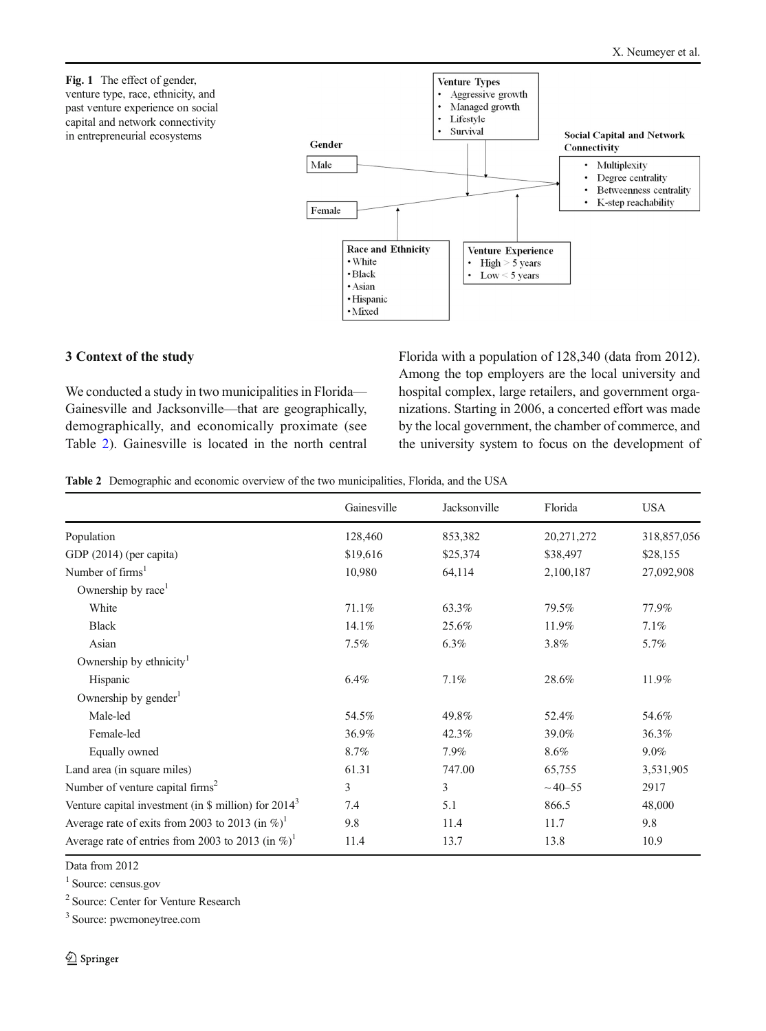<span id="page-5-0"></span>Fig. 1 The effect of gender, venture type, race, ethnicity, and past venture experience on social capital and network connectivity in entrepreneurial ecosystems



# 3 Context of the study

We conducted a study in two municipalities in Florida— Gainesville and Jacksonville—that are geographically, demographically, and economically proximate (see Table 2). Gainesville is located in the north central Florida with a population of 128,340 (data from 2012). Among the top employers are the local university and hospital complex, large retailers, and government organizations. Starting in 2006, a concerted effort was made by the local government, the chamber of commerce, and the university system to focus on the development of

|                                                                             | Gainesville | Jacksonville | Florida      | <b>USA</b>  |
|-----------------------------------------------------------------------------|-------------|--------------|--------------|-------------|
| Population                                                                  | 128,460     | 853,382      | 20, 271, 272 | 318,857,056 |
| GDP (2014) (per capita)                                                     | \$19,616    | \$25,374     | \$38,497     | \$28,155    |
| Number of $\text{firms}^1$                                                  | 10,980      | 64,114       | 2,100,187    | 27,092,908  |
| Ownership by race <sup>1</sup>                                              |             |              |              |             |
| White                                                                       | 71.1%       | 63.3%        | 79.5%        | 77.9%       |
| <b>Black</b>                                                                | 14.1%       | 25.6%        | 11.9%        | 7.1%        |
| Asian                                                                       | 7.5%        | $6.3\%$      | 3.8%         | $5.7\%$     |
| Ownership by ethnicity <sup>1</sup>                                         |             |              |              |             |
| Hispanic                                                                    | 6.4%        | 7.1%         | 28.6%        | 11.9%       |
| Ownership by gender <sup>1</sup>                                            |             |              |              |             |
| Male-led                                                                    | 54.5%       | 49.8%        | 52.4%        | 54.6%       |
| Female-led                                                                  | 36.9%       | 42.3%        | 39.0%        | 36.3%       |
| Equally owned                                                               | 8.7%        | 7.9%         | 8.6%         | $9.0\%$     |
| Land area (in square miles)                                                 | 61.31       | 747.00       | 65,755       | 3,531,905   |
| Number of venture capital firms <sup>2</sup>                                | 3           | 3            | $\sim$ 40–55 | 2917        |
| Venture capital investment (in $\frac{1}{2}$ million) for 2014 <sup>3</sup> | 7.4         | 5.1          | 866.5        | 48,000      |
| Average rate of exits from 2003 to 2013 (in $\%$ ) <sup>1</sup>             | 9.8         | 11.4         | 11.7         | 9.8         |
| Average rate of entries from 2003 to 2013 (in $\%$ ) <sup>1</sup>           | 11.4        | 13.7         | 13.8         | 10.9        |

Data from 2012

<sup>1</sup> Source: census.gov

<sup>2</sup> Source: Center for Venture Research

<sup>3</sup> Source: pwcmoneytree.com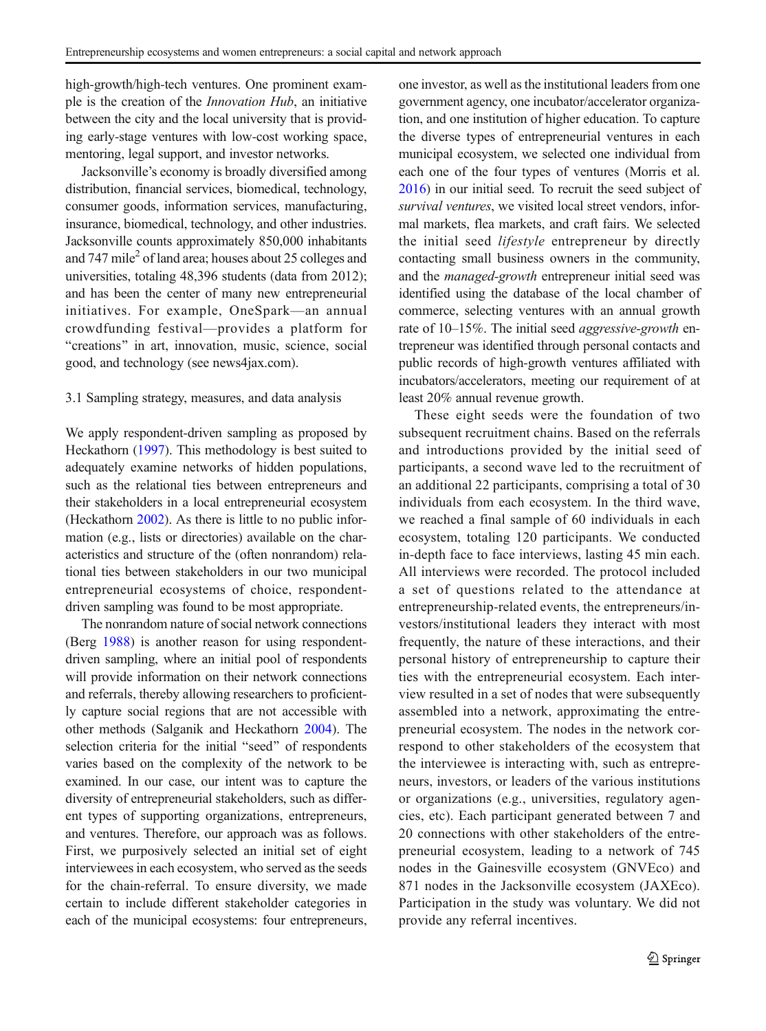high-growth/high-tech ventures. One prominent example is the creation of the Innovation Hub, an initiative between the city and the local university that is providing early-stage ventures with low-cost working space, mentoring, legal support, and investor networks.

Jacksonville's economy is broadly diversified among distribution, financial services, biomedical, technology, consumer goods, information services, manufacturing, insurance, biomedical, technology, and other industries. Jacksonville counts approximately 850,000 inhabitants and  $747$  mile<sup>2</sup> of land area; houses about 25 colleges and universities, totaling 48,396 students (data from 2012); and has been the center of many new entrepreneurial initiatives. For example, OneSpark—an annual crowdfunding festival—provides a platform for "creations" in art, innovation, music, science, social good, and technology (see news4jax.com).

#### 3.1 Sampling strategy, measures, and data analysis

We apply respondent-driven sampling as proposed by Heckathorn [\(1997\)](#page-13-0). This methodology is best suited to adequately examine networks of hidden populations, such as the relational ties between entrepreneurs and their stakeholders in a local entrepreneurial ecosystem (Heckathorn [2002](#page-13-0)). As there is little to no public information (e.g., lists or directories) available on the characteristics and structure of the (often nonrandom) relational ties between stakeholders in our two municipal entrepreneurial ecosystems of choice, respondentdriven sampling was found to be most appropriate.

The nonrandom nature of social network connections (Berg [1988](#page-12-0)) is another reason for using respondentdriven sampling, where an initial pool of respondents will provide information on their network connections and referrals, thereby allowing researchers to proficiently capture social regions that are not accessible with other methods (Salganik and Heckathorn [2004](#page-14-0)). The selection criteria for the initial "seed" of respondents varies based on the complexity of the network to be examined. In our case, our intent was to capture the diversity of entrepreneurial stakeholders, such as different types of supporting organizations, entrepreneurs, and ventures. Therefore, our approach was as follows. First, we purposively selected an initial set of eight interviewees in each ecosystem, who served as the seeds for the chain-referral. To ensure diversity, we made certain to include different stakeholder categories in each of the municipal ecosystems: four entrepreneurs, one investor, as well as the institutional leaders from one government agency, one incubator/accelerator organization, and one institution of higher education. To capture the diverse types of entrepreneurial ventures in each municipal ecosystem, we selected one individual from each one of the four types of ventures (Morris et al. [2016](#page-14-0)) in our initial seed. To recruit the seed subject of survival ventures, we visited local street vendors, informal markets, flea markets, and craft fairs. We selected the initial seed lifestyle entrepreneur by directly contacting small business owners in the community, and the managed-growth entrepreneur initial seed was identified using the database of the local chamber of commerce, selecting ventures with an annual growth rate of 10–15%. The initial seed aggressive-growth entrepreneur was identified through personal contacts and public records of high-growth ventures affiliated with incubators/accelerators, meeting our requirement of at least 20% annual revenue growth.

These eight seeds were the foundation of two subsequent recruitment chains. Based on the referrals and introductions provided by the initial seed of participants, a second wave led to the recruitment of an additional 22 participants, comprising a total of 30 individuals from each ecosystem. In the third wave, we reached a final sample of 60 individuals in each ecosystem, totaling 120 participants. We conducted in-depth face to face interviews, lasting 45 min each. All interviews were recorded. The protocol included a set of questions related to the attendance at entrepreneurship-related events, the entrepreneurs/investors/institutional leaders they interact with most frequently, the nature of these interactions, and their personal history of entrepreneurship to capture their ties with the entrepreneurial ecosystem. Each interview resulted in a set of nodes that were subsequently assembled into a network, approximating the entrepreneurial ecosystem. The nodes in the network correspond to other stakeholders of the ecosystem that the interviewee is interacting with, such as entrepreneurs, investors, or leaders of the various institutions or organizations (e.g., universities, regulatory agencies, etc). Each participant generated between 7 and 20 connections with other stakeholders of the entrepreneurial ecosystem, leading to a network of 745 nodes in the Gainesville ecosystem (GNVEco) and 871 nodes in the Jacksonville ecosystem (JAXEco). Participation in the study was voluntary. We did not provide any referral incentives.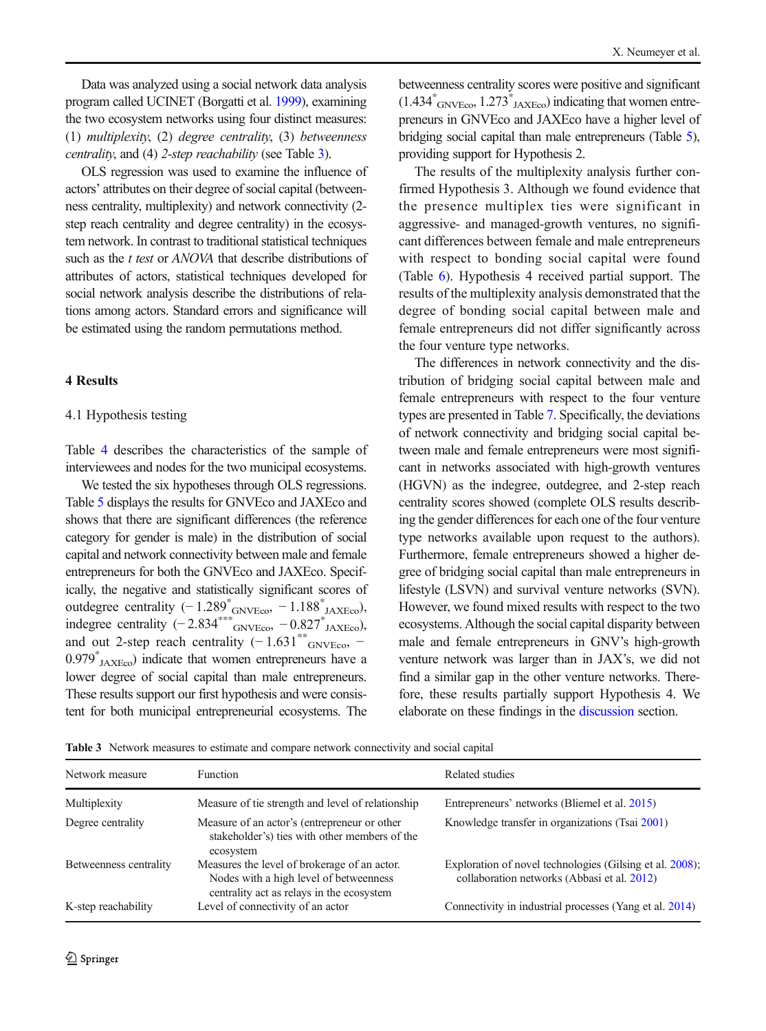<span id="page-7-0"></span>Data was analyzed using a social network data analysis program called UCINET (Borgatti et al. [1999](#page-12-0)), examining the two ecosystem networks using four distinct measures: (1) multiplexity, (2) degree centrality, (3) betweenness centrality, and (4) 2-step reachability (see Table 3).

OLS regression was used to examine the influence of actors' attributes on their degree of social capital (betweenness centrality, multiplexity) and network connectivity (2 step reach centrality and degree centrality) in the ecosystem network. In contrast to traditional statistical techniques such as the t test or ANOVA that describe distributions of attributes of actors, statistical techniques developed for social network analysis describe the distributions of relations among actors. Standard errors and significance will be estimated using the random permutations method.

### 4 Results

#### 4.1 Hypothesis testing

Table [4](#page-8-0) describes the characteristics of the sample of interviewees and nodes for the two municipal ecosystems.

We tested the six hypotheses through OLS regressions. Table [5](#page-9-0) displays the results for GNVEco and JAXEco and shows that there are significant differences (the reference category for gender is male) in the distribution of social capital and network connectivity between male and female entrepreneurs for both the GNVEco and JAXEco. Specifically, the negative and statistically significant scores of outdegree centrality  $(-1.289^*_{\text{GNVEco}}, -1.188^*_{\text{JAXEco}})$ , indegree centrality  $(-2.834^{***}$ <sub>GNVEco</sub>,  $-0.827^{*}_{\text{JAXEco}})$ , and out 2-step reach centrality  $(-1.631^{**}$ <sub>GNVEco</sub>, –  $0.979^*_{\text{JAXEco}}$ ) indicate that women entrepreneurs have a lower degree of social capital than male entrepreneurs. These results support our first hypothesis and were consistent for both municipal entrepreneurial ecosystems. The

betweenness centrality scores were positive and significant  $(1.434<sup>*</sup><sub>GNVEco</sub>, 1.273<sup>*</sup><sub>JAXEco</sub>)$  indicating that women entrepreneurs in GNVEco and JAXEco have a higher level of bridging social capital than male entrepreneurs (Table [5\)](#page-9-0), providing support for Hypothesis 2.

The results of the multiplexity analysis further confirmed Hypothesis 3. Although we found evidence that the presence multiplex ties were significant in aggressive- and managed-growth ventures, no significant differences between female and male entrepreneurs with respect to bonding social capital were found (Table [6](#page-9-0)). Hypothesis 4 received partial support. The results of the multiplexity analysis demonstrated that the degree of bonding social capital between male and female entrepreneurs did not differ significantly across the four venture type networks.

The differences in network connectivity and the distribution of bridging social capital between male and female entrepreneurs with respect to the four venture types are presented in Table [7](#page-10-0). Specifically, the deviations of network connectivity and bridging social capital between male and female entrepreneurs were most significant in networks associated with high-growth ventures (HGVN) as the indegree, outdegree, and 2-step reach centrality scores showed (complete OLS results describing the gender differences for each one of the four venture type networks available upon request to the authors). Furthermore, female entrepreneurs showed a higher degree of bridging social capital than male entrepreneurs in lifestyle (LSVN) and survival venture networks (SVN). However, we found mixed results with respect to the two ecosystems. Although the social capital disparity between male and female entrepreneurs in GNV's high-growth venture network was larger than in JAX's, we did not find a similar gap in the other venture networks. Therefore, these results partially support Hypothesis 4. We elaborate on these findings in the [discussion](#page-8-0) section.

Table 3 Network measures to estimate and compare network connectivity and social capital

| Network measure        | <b>Function</b>                                                                                                                     | Related studies                                                                                         |  |  |
|------------------------|-------------------------------------------------------------------------------------------------------------------------------------|---------------------------------------------------------------------------------------------------------|--|--|
| Multiplexity           | Measure of tie strength and level of relationship                                                                                   | Entrepreneurs' networks (Bliemel et al. 2015)                                                           |  |  |
| Degree centrality      | Measure of an actor's (entrepreneur or other<br>stakeholder's) ties with other members of the<br>ecosystem                          | Knowledge transfer in organizations (Tsai 2001)                                                         |  |  |
| Betweenness centrality | Measures the level of brokerage of an actor.<br>Nodes with a high level of betweenness<br>centrality act as relays in the ecosystem | Exploration of novel technologies (Gilsing et al. 2008);<br>collaboration networks (Abbasi et al. 2012) |  |  |
| K-step reachability    | Level of connectivity of an actor                                                                                                   | Connectivity in industrial processes (Yang et al. 2014)                                                 |  |  |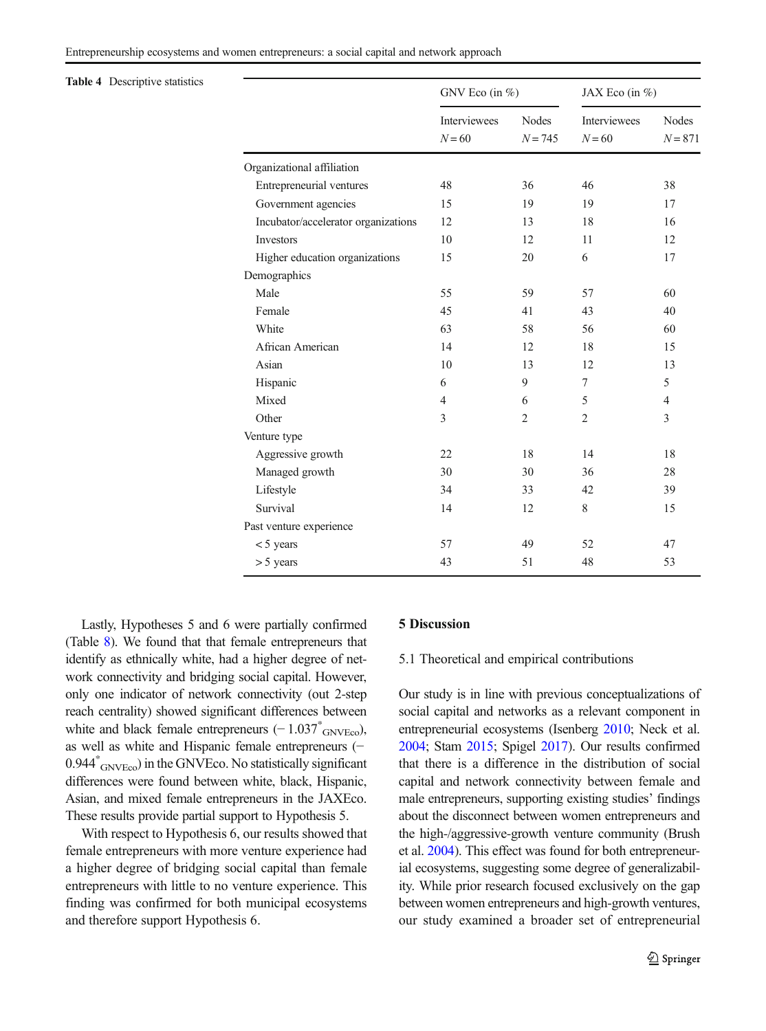<span id="page-8-0"></span>Entrepreneurship ecosystems and women entrepreneurs: a social capital and network approach

Table 4 Descriptive statistics

|                                     | GNV Eco (in $%$ )        |                           | JAX Eco (in $%$ )      |                           |
|-------------------------------------|--------------------------|---------------------------|------------------------|---------------------------|
|                                     | Interviewees<br>$N = 60$ | <b>Nodes</b><br>$N = 745$ | Interviewees<br>$N=60$ | <b>Nodes</b><br>$N = 871$ |
| Organizational affiliation          |                          |                           |                        |                           |
| Entrepreneurial ventures            | 48                       | 36                        | 46                     | 38                        |
| Government agencies                 | 15                       | 19                        | 19                     | 17                        |
| Incubator/accelerator organizations | 12                       | 13                        | 18                     | 16                        |
| Investors                           | 10                       | 12                        | 11                     | 12                        |
| Higher education organizations      | 15                       | 20                        | 6                      | 17                        |
| Demographics                        |                          |                           |                        |                           |
| Male                                | 55                       | 59                        | 57                     | 60                        |
| Female                              | 45                       | 41                        | 43                     | 40                        |
| White                               | 63                       | 58                        | 56                     | 60                        |
| African American                    | 14                       | 12                        | 18                     | 15                        |
| Asian                               | 10                       | 13                        | 12                     | 13                        |
| Hispanic                            | 6                        | 9                         | 7                      | 5                         |
| Mixed                               | $\overline{4}$           | 6                         | 5                      | $\overline{4}$            |
| Other                               | 3                        | $\overline{2}$            | $\overline{c}$         | $\overline{3}$            |
| Venture type                        |                          |                           |                        |                           |
| Aggressive growth                   | 22                       | 18                        | 14                     | 18                        |
| Managed growth                      | 30                       | 30                        | 36                     | 28                        |
| Lifestyle                           | 34                       | 33                        | 42                     | 39                        |
| Survival                            | 14                       | 12                        | 8                      | 15                        |
| Past venture experience             |                          |                           |                        |                           |
| $<$ 5 years                         | 57                       | 49                        | 52                     | 47                        |
| $> 5$ years                         | 43                       | 51                        | 48                     | 53                        |

Lastly, Hypotheses 5 and 6 were partially confirmed (Table [8\)](#page-10-0). We found that that female entrepreneurs that identify as ethnically white, had a higher degree of network connectivity and bridging social capital. However, only one indicator of network connectivity (out 2-step reach centrality) showed significant differences between white and black female entrepreneurs  $(-1.037<sup>*</sup><sub>GNVEco</sub>)$ , as well as white and Hispanic female entrepreneurs (−  $0.944^{\ast}$ <sub>GNVEco</sub>) in the GNVEco. No statistically significant differences were found between white, black, Hispanic, Asian, and mixed female entrepreneurs in the JAXEco. These results provide partial support to Hypothesis 5.

With respect to Hypothesis 6, our results showed that female entrepreneurs with more venture experience had a higher degree of bridging social capital than female entrepreneurs with little to no venture experience. This finding was confirmed for both municipal ecosystems and therefore support Hypothesis 6.

#### 5 Discussion

#### 5.1 Theoretical and empirical contributions

Our study is in line with previous conceptualizations of social capital and networks as a relevant component in entrepreneurial ecosystems (Isenberg [2010](#page-13-0); Neck et al. [2004](#page-14-0); Stam [2015;](#page-14-0) Spigel [2017\)](#page-14-0). Our results confirmed that there is a difference in the distribution of social capital and network connectivity between female and male entrepreneurs, supporting existing studies' findings about the disconnect between women entrepreneurs and the high-/aggressive-growth venture community (Brush et al. [2004\)](#page-13-0). This effect was found for both entrepreneurial ecosystems, suggesting some degree of generalizability. While prior research focused exclusively on the gap between women entrepreneurs and high-growth ventures, our study examined a broader set of entrepreneurial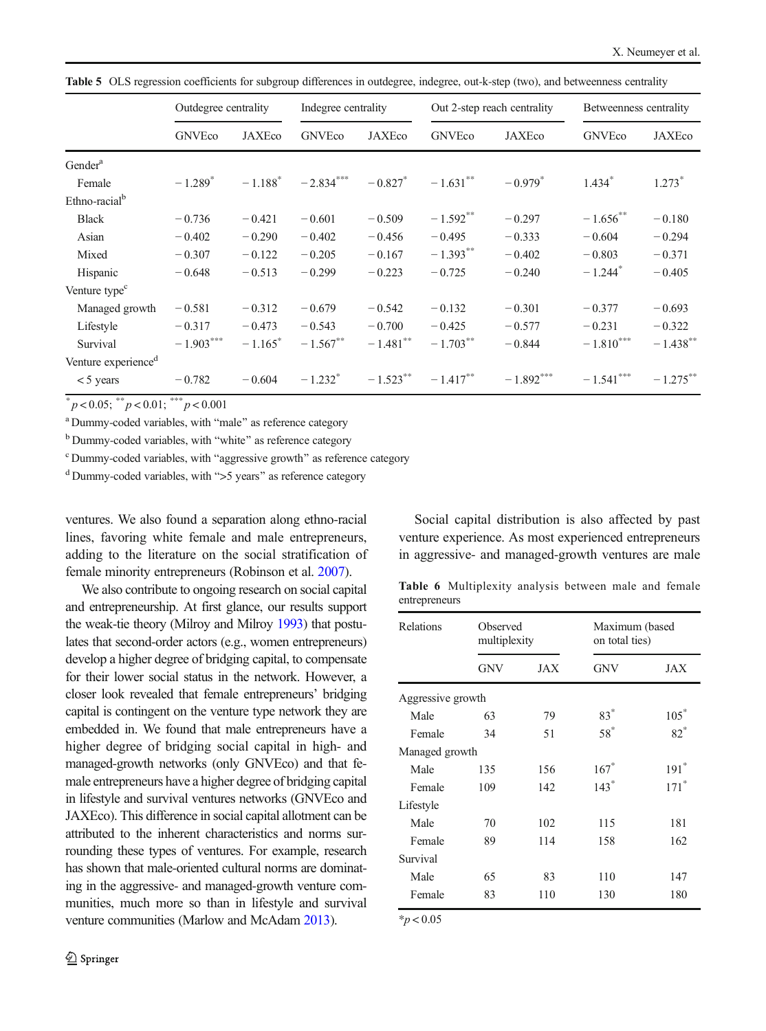Outdegree centrality Indegree centrality Out 2-step reach centrality Betweenness centrality GNVEco JAXEco GNVEco JAXEco GNVEco JAXEco GNVEco JAXEco Gender<sup>a</sup> Female  $-1.289^*$   $-1.188^*$   $-2.834^{***}$   $-0.827^*$   $-1.631^{**}$   $-0.979^*$   $1.434^*$   $1.273^*$ Ethno-racial<sup>b</sup> Black − 0.736 − 0.421 − 0.601 − 0.509 − 1.592<sup>\*\*</sup> − 0.297 − 1.656<sup>\*\*</sup> − 0.180 Asian − 0.402 − 0.290 − 0.402 − 0.456 − 0.495 − 0.333 − 0.604 − 0.294 Mixed − 0.307 − 0.122 − 0.205 − 0.167 − 1.393<sup>\*\*</sup> − 0.402 − 0.803 − 0.371 Hispanic − 0.648 − 0.513 − 0.299 − 0.223 − 0.725 − 0.240 − 1.244\* − 0.405 Venture type<sup>c</sup> Managed growth − 0.581 − 0.312 − 0.679 − 0.542 − 0.132 − 0.301 − 0.377 − 0.693 Lifestyle − 0.317 − 0.473 − 0.543 − 0.700 − 0.425 − 0.577 − 0.231 − 0.322 Survival − 1.903<sup>\*\*\*</sup> − 1.165<sup>\*</sup> − 1.567<sup>\*\*</sup> − 1.481<sup>\*\*</sup> − 1.703<sup>\*\*</sup> − 0.844 − 1.810<sup>\*\*\*</sup> − 1.438<sup>\*\*</sup> Venture experience<sup>d</sup>

 $-5 \text{ years}$   $-0.782$   $-0.604$   $-1.232$   $-1.523$   $-1.417$   $-1.892$   $-1.541$   $-1.541$   $-1.275$   $-1.541$ 

<span id="page-9-0"></span>Table 5 OLS regression coefficients for subgroup differences in outdegree, indegree, out-k-step (two), and betweenness centrality

 $p < 0.05$ ; \*\*p < 0.01; \*\*\*p < 0.001

<sup>a</sup> Dummy-coded variables, with "male" as reference category

 $<sup>b</sup>$  Dummy-coded variables, with "white" as reference category</sup>

<sup>c</sup> Dummy-coded variables, with "aggressive growth" as reference category

 $d$  Dummy-coded variables, with " $>5$  years" as reference category

ventures. We also found a separation along ethno-racial lines, favoring white female and male entrepreneurs, adding to the literature on the social stratification of female minority entrepreneurs (Robinson et al. [2007](#page-14-0)).

We also contribute to ongoing research on social capital and entrepreneurship. At first glance, our results support the weak-tie theory (Milroy and Milroy [1993\)](#page-14-0) that postulates that second-order actors (e.g., women entrepreneurs) develop a higher degree of bridging capital, to compensate for their lower social status in the network. However, a closer look revealed that female entrepreneurs' bridging capital is contingent on the venture type network they are embedded in. We found that male entrepreneurs have a higher degree of bridging social capital in high- and managed-growth networks (only GNVEco) and that female entrepreneurs have a higher degree of bridging capital in lifestyle and survival ventures networks (GNVEco and JAXEco). This difference in social capital allotment can be attributed to the inherent characteristics and norms surrounding these types of ventures. For example, research has shown that male-oriented cultural norms are dominating in the aggressive- and managed-growth venture communities, much more so than in lifestyle and survival venture communities (Marlow and McAdam [2013\)](#page-14-0).

Social capital distribution is also affected by past venture experience. As most experienced entrepreneurs in aggressive- and managed-growth ventures are male

Table 6 Multiplexity analysis between male and female entrepreneurs

| <b>Relations</b>  | Observed<br>multiplexity |     | Maximum (based<br>on total ties) |        |  |
|-------------------|--------------------------|-----|----------------------------------|--------|--|
|                   | <b>GNV</b>               | JAX | <b>GNV</b>                       | JAX    |  |
| Aggressive growth |                          |     |                                  |        |  |
| Male              | 63                       | 79  | $83*$                            | $105*$ |  |
| Female            | 34                       | 51  | $58*$                            | $82^*$ |  |
| Managed growth    |                          |     |                                  |        |  |
| Male              | 135                      | 156 | $167*$                           | $191*$ |  |
| Female            | 109                      | 142 | $143*$                           | $171*$ |  |
| Lifestyle         |                          |     |                                  |        |  |
| Male              | 70                       | 102 | 115                              | 181    |  |
| Female            | 89                       | 114 | 158                              | 162    |  |
| Survival          |                          |     |                                  |        |  |
| Male              | 65                       | 83  | 110                              | 147    |  |
| Female            | 83                       | 110 | 130                              | 180    |  |
|                   |                          |     |                                  |        |  |

 $*p < 0.05$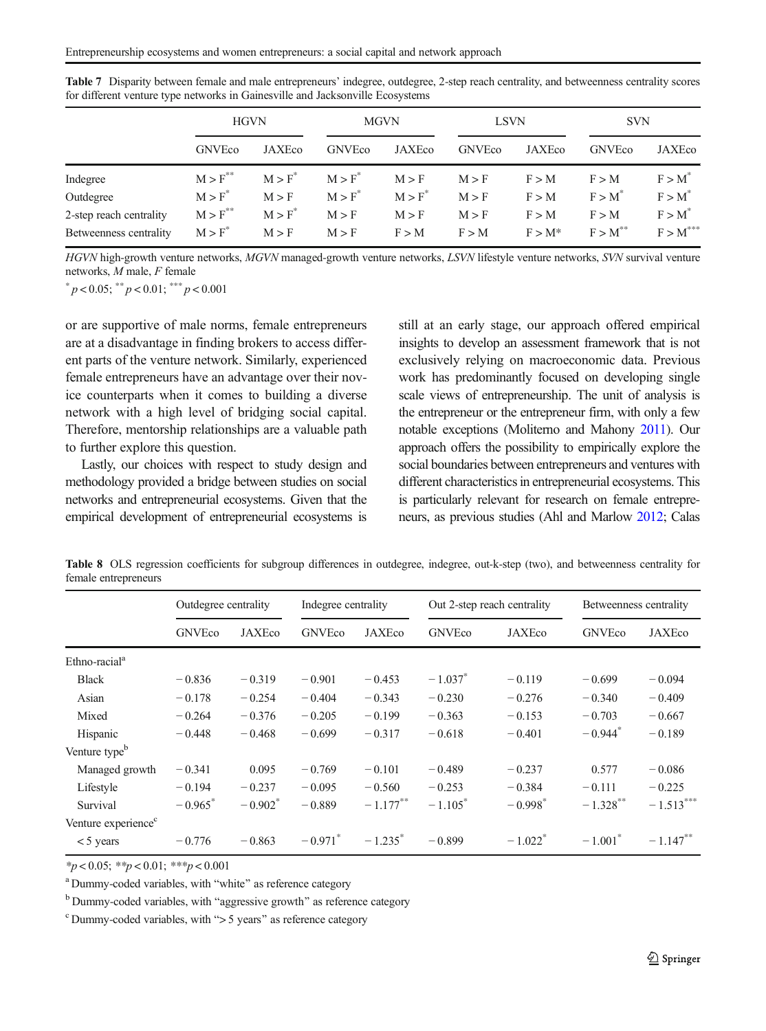| <b>HGVN</b>   |           | <b>MGVN</b>   |           | <b>LSVN</b>   |           | <b>SVN</b>    |             |
|---------------|-----------|---------------|-----------|---------------|-----------|---------------|-------------|
| <b>GNVEco</b> | JAXEco    | <b>GNVEco</b> | JAXEco    | <b>GNVEco</b> | JAXEco    | <b>GNVEco</b> | JAXEco      |
| $M > F^{**}$  | $M > F^*$ | $M > F^*$     | M > F     | M > F         | F > M     | F > M         | $F > M^*$   |
| $M > F^*$     | M > F     | $M > F^*$     | $M > F^*$ | M > F         | F > M     | $F > M^*$     | $F > M^*$   |
| $M > F^{**}$  | $M > F^*$ | M > F         | M > F     | M > F         | F > M     | F > M         | $F > M^*$   |
| $M > F^*$     | M > F     | M > F         | F > M     | F > M         | $F > M^*$ | $F > M^*$     | $F > M$ *** |
|               |           |               |           |               |           |               |             |

<span id="page-10-0"></span>Table 7 Disparity between female and male entrepreneurs' indegree, outdegree, 2-step reach centrality, and betweenness centrality scores for different venture type networks in Gainesville and Jacksonville Ecosystems

HGVN high-growth venture networks, MGVN managed-growth venture networks, LSVN lifestyle venture networks, SVN survival venture networks, M male, F female

 $p < 0.05$ ; \*\* $p < 0.01$ ; \*\*\* $p < 0.001$ 

or are supportive of male norms, female entrepreneurs are at a disadvantage in finding brokers to access different parts of the venture network. Similarly, experienced female entrepreneurs have an advantage over their novice counterparts when it comes to building a diverse network with a high level of bridging social capital. Therefore, mentorship relationships are a valuable path to further explore this question.

Lastly, our choices with respect to study design and methodology provided a bridge between studies on social networks and entrepreneurial ecosystems. Given that the empirical development of entrepreneurial ecosystems is still at an early stage, our approach offered empirical insights to develop an assessment framework that is not exclusively relying on macroeconomic data. Previous work has predominantly focused on developing single scale views of entrepreneurship. The unit of analysis is the entrepreneur or the entrepreneur firm, with only a few notable exceptions (Moliterno and Mahony [2011](#page-14-0)). Our approach offers the possibility to empirically explore the social boundaries between entrepreneurs and ventures with different characteristics in entrepreneurial ecosystems. This is particularly relevant for research on female entrepreneurs, as previous studies (Ahl and Marlow [2012;](#page-12-0) Calas

Table 8 OLS regression coefficients for subgroup differences in outdegree, indegree, out-k-step (two), and betweenness centrality for female entrepreneurs

|                                 | Outdegree centrality  |                       | Indegree centrality   |               | Out 2-step reach centrality |                       | Betweenness centrality |               |
|---------------------------------|-----------------------|-----------------------|-----------------------|---------------|-----------------------------|-----------------------|------------------------|---------------|
|                                 | <b>GNVEco</b>         | JAXEco                | <b>GNVEco</b>         | <b>JAXEco</b> | <b>GNVEco</b>               | <b>JAXEco</b>         | <b>GNVEco</b>          | <b>JAXEco</b> |
| Ethno-racial <sup>a</sup>       |                       |                       |                       |               |                             |                       |                        |               |
| <b>Black</b>                    | $-0.836$              | $-0.319$              | $-0.901$              | $-0.453$      | $-1.037^*$                  | $-0.119$              | $-0.699$               | $-0.094$      |
| Asian                           | $-0.178$              | $-0.254$              | $-0.404$              | $-0.343$      | $-0.230$                    | $-0.276$              | $-0.340$               | $-0.409$      |
| Mixed                           | $-0.264$              | $-0.376$              | $-0.205$              | $-0.199$      | $-0.363$                    | $-0.153$              | $-0.703$               | $-0.667$      |
| Hispanic                        | $-0.448$              | $-0.468$              | $-0.699$              | $-0.317$      | $-0.618$                    | $-0.401$              | $-0.944^*$             | $-0.189$      |
| Venture type <sup>b</sup>       |                       |                       |                       |               |                             |                       |                        |               |
| Managed growth                  | $-0.341$              | 0.095                 | $-0.769$              | $-0.101$      | $-0.489$                    | $-0.237$              | 0.577                  | $-0.086$      |
| Lifestyle                       | $-0.194$              | $-0.237$              | $-0.095$              | $-0.560$      | $-0.253$                    | $-0.384$              | $-0.111$               | $-0.225$      |
| Survival                        | $-0.965$ <sup>*</sup> | $-0.902$ <sup>*</sup> | $-0.889$              | $-1.177***$   | $-1.105*$                   | $-0.998^*$            | $-1.328***$            | $-1.513***$   |
| Venture experience <sup>c</sup> |                       |                       |                       |               |                             |                       |                        |               |
| $<$ 5 years                     | $-0.776$              | $-0.863$              | $-0.971$ <sup>*</sup> | $-1.235^*$    | $-0.899$                    | $-1.022$ <sup>*</sup> | $-1.001$ <sup>*</sup>  | $-1.147***$   |

 $*_{p}$  < 0.05;  $*_{p}$  < 0.01;  $*_{p}$  < 0.001

<sup>a</sup> Dummy-coded variables, with "white" as reference category

 $b$  Dummy-coded variables, with "aggressive growth" as reference category

 $\degree$ Dummy-coded variables, with "> 5 years" as reference category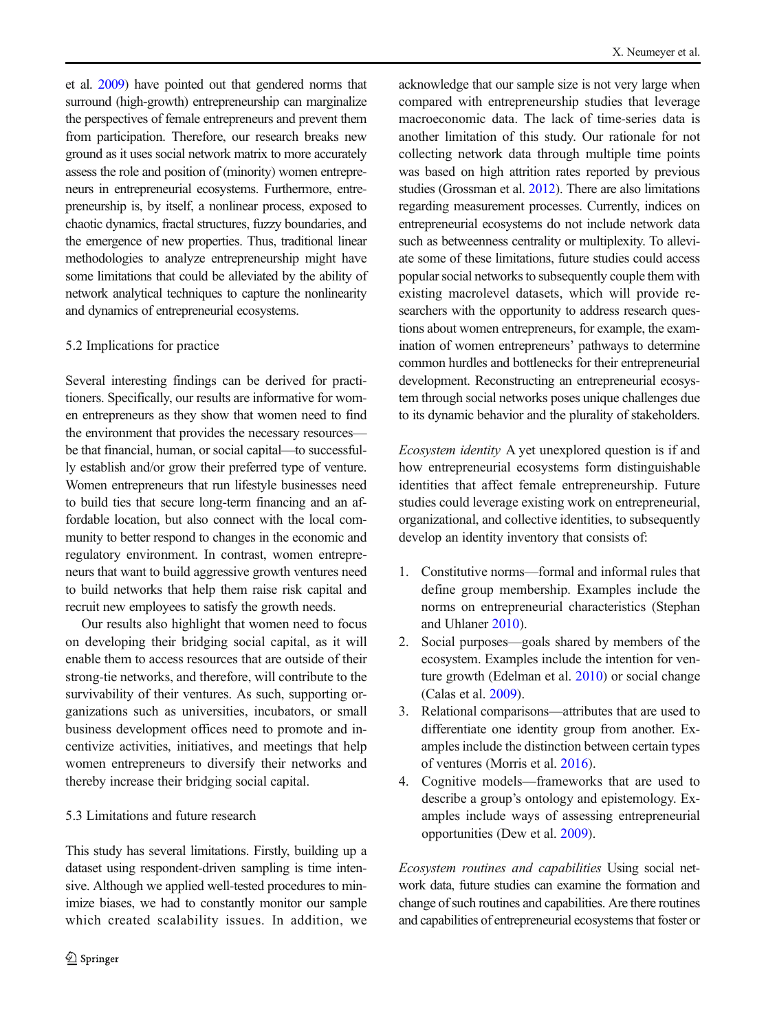et al. [2009\)](#page-13-0) have pointed out that gendered norms that surround (high-growth) entrepreneurship can marginalize the perspectives of female entrepreneurs and prevent them from participation. Therefore, our research breaks new ground as it uses social network matrix to more accurately assess the role and position of (minority) women entrepreneurs in entrepreneurial ecosystems. Furthermore, entrepreneurship is, by itself, a nonlinear process, exposed to chaotic dynamics, fractal structures, fuzzy boundaries, and the emergence of new properties. Thus, traditional linear methodologies to analyze entrepreneurship might have some limitations that could be alleviated by the ability of network analytical techniques to capture the nonlinearity and dynamics of entrepreneurial ecosystems.

## 5.2 Implications for practice

Several interesting findings can be derived for practitioners. Specifically, our results are informative for women entrepreneurs as they show that women need to find the environment that provides the necessary resources be that financial, human, or social capital—to successfully establish and/or grow their preferred type of venture. Women entrepreneurs that run lifestyle businesses need to build ties that secure long-term financing and an affordable location, but also connect with the local community to better respond to changes in the economic and regulatory environment. In contrast, women entrepreneurs that want to build aggressive growth ventures need to build networks that help them raise risk capital and recruit new employees to satisfy the growth needs.

Our results also highlight that women need to focus on developing their bridging social capital, as it will enable them to access resources that are outside of their strong-tie networks, and therefore, will contribute to the survivability of their ventures. As such, supporting organizations such as universities, incubators, or small business development offices need to promote and incentivize activities, initiatives, and meetings that help women entrepreneurs to diversify their networks and thereby increase their bridging social capital.

## 5.3 Limitations and future research

This study has several limitations. Firstly, building up a dataset using respondent-driven sampling is time intensive. Although we applied well-tested procedures to minimize biases, we had to constantly monitor our sample which created scalability issues. In addition, we acknowledge that our sample size is not very large when compared with entrepreneurship studies that leverage macroeconomic data. The lack of time-series data is another limitation of this study. Our rationale for not collecting network data through multiple time points was based on high attrition rates reported by previous studies (Grossman et al. [2012\)](#page-13-0). There are also limitations regarding measurement processes. Currently, indices on entrepreneurial ecosystems do not include network data such as betweenness centrality or multiplexity. To alleviate some of these limitations, future studies could access popular social networks to subsequently couple them with existing macrolevel datasets, which will provide researchers with the opportunity to address research questions about women entrepreneurs, for example, the examination of women entrepreneurs' pathways to determine common hurdles and bottlenecks for their entrepreneurial development. Reconstructing an entrepreneurial ecosystem through social networks poses unique challenges due to its dynamic behavior and the plurality of stakeholders.

Ecosystem identity A yet unexplored question is if and how entrepreneurial ecosystems form distinguishable identities that affect female entrepreneurship. Future studies could leverage existing work on entrepreneurial, organizational, and collective identities, to subsequently develop an identity inventory that consists of:

- 1. Constitutive norms—formal and informal rules that define group membership. Examples include the norms on entrepreneurial characteristics (Stephan and Uhlaner [2010](#page-14-0)).
- 2. Social purposes—goals shared by members of the ecosystem. Examples include the intention for venture growth (Edelman et al. [2010\)](#page-13-0) or social change (Calas et al. [2009](#page-13-0)).
- 3. Relational comparisons—attributes that are used to differentiate one identity group from another. Examples include the distinction between certain types of ventures (Morris et al. [2016](#page-14-0)).
- 4. Cognitive models—frameworks that are used to describe a group's ontology and epistemology. Examples include ways of assessing entrepreneurial opportunities (Dew et al. [2009](#page-13-0)).

Ecosystem routines and capabilities Using social network data, future studies can examine the formation and change of such routines and capabilities. Are there routines and capabilities of entrepreneurial ecosystems that foster or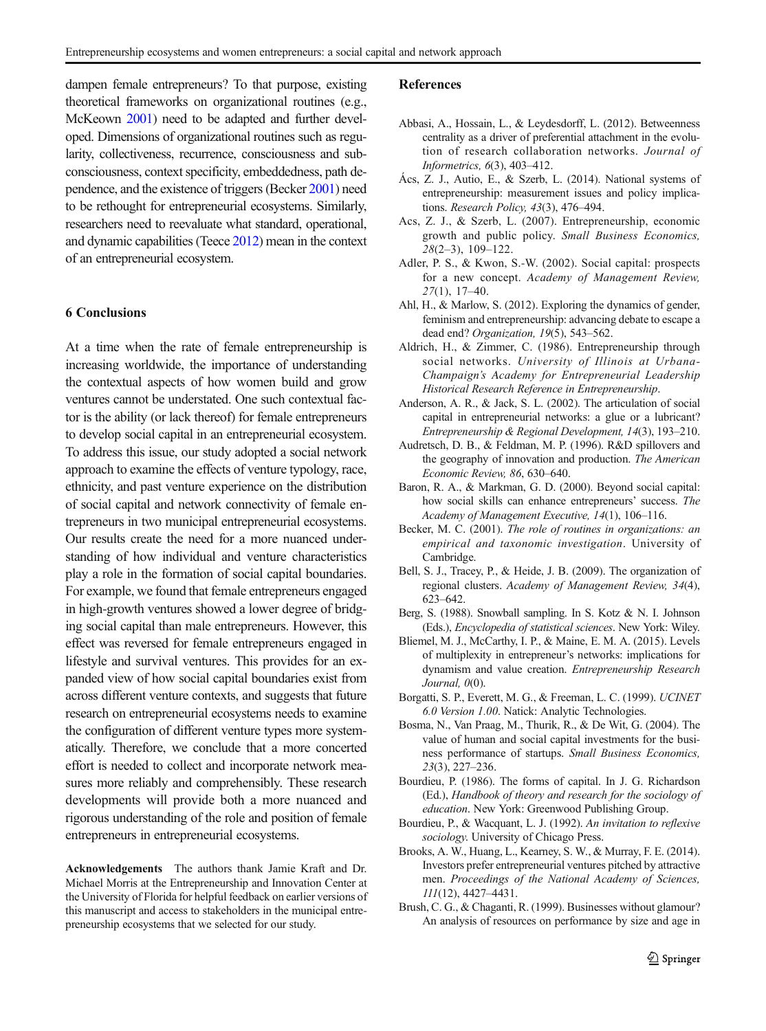<span id="page-12-0"></span>dampen female entrepreneurs? To that purpose, existing theoretical frameworks on organizational routines (e.g., McKeown [2001](#page-14-0)) need to be adapted and further developed. Dimensions of organizational routines such as regularity, collectiveness, recurrence, consciousness and subconsciousness, context specificity, embeddedness, path dependence, and the existence of triggers (Becker 2001) need to be rethought for entrepreneurial ecosystems. Similarly, researchers need to reevaluate what standard, operational, and dynamic capabilities (Teece [2012\)](#page-14-0) mean in the context of an entrepreneurial ecosystem.

## 6 Conclusions

At a time when the rate of female entrepreneurship is increasing worldwide, the importance of understanding the contextual aspects of how women build and grow ventures cannot be understated. One such contextual factor is the ability (or lack thereof) for female entrepreneurs to develop social capital in an entrepreneurial ecosystem. To address this issue, our study adopted a social network approach to examine the effects of venture typology, race, ethnicity, and past venture experience on the distribution of social capital and network connectivity of female entrepreneurs in two municipal entrepreneurial ecosystems. Our results create the need for a more nuanced understanding of how individual and venture characteristics play a role in the formation of social capital boundaries. For example, we found that female entrepreneurs engaged in high-growth ventures showed a lower degree of bridging social capital than male entrepreneurs. However, this effect was reversed for female entrepreneurs engaged in lifestyle and survival ventures. This provides for an expanded view of how social capital boundaries exist from across different venture contexts, and suggests that future research on entrepreneurial ecosystems needs to examine the configuration of different venture types more systematically. Therefore, we conclude that a more concerted effort is needed to collect and incorporate network measures more reliably and comprehensibly. These research developments will provide both a more nuanced and rigorous understanding of the role and position of female entrepreneurs in entrepreneurial ecosystems.

Acknowledgements The authors thank Jamie Kraft and Dr. Michael Morris at the Entrepreneurship and Innovation Center at the University of Florida for helpful feedback on earlier versions of this manuscript and access to stakeholders in the municipal entrepreneurship ecosystems that we selected for our study.

#### References

- Abbasi, A., Hossain, L., & Leydesdorff, L. (2012). Betweenness centrality as a driver of preferential attachment in the evolution of research collaboration networks. Journal of Informetrics, 6(3), 403–412.
- Ács, Z. J., Autio, E., & Szerb, L. (2014). National systems of entrepreneurship: measurement issues and policy implications. Research Policy, 43(3), 476–494.
- Acs, Z. J., & Szerb, L. (2007). Entrepreneurship, economic growth and public policy. Small Business Economics, 28(2–3), 109–122.
- Adler, P. S., & Kwon, S.-W. (2002). Social capital: prospects for a new concept. Academy of Management Review, 27(1), 17–40.
- Ahl, H., & Marlow, S. (2012). Exploring the dynamics of gender, feminism and entrepreneurship: advancing debate to escape a dead end? Organization, 19(5), 543–562.
- Aldrich, H., & Zimmer, C. (1986). Entrepreneurship through social networks. University of Illinois at Urbana-Champaign's Academy for Entrepreneurial Leadership Historical Research Reference in Entrepreneurship.
- Anderson, A. R., & Jack, S. L. (2002). The articulation of social capital in entrepreneurial networks: a glue or a lubricant? Entrepreneurship & Regional Development, 14(3), 193–210.
- Audretsch, D. B., & Feldman, M. P. (1996). R&D spillovers and the geography of innovation and production. The American Economic Review, 86, 630–640.
- Baron, R. A., & Markman, G. D. (2000). Beyond social capital: how social skills can enhance entrepreneurs' success. The Academy of Management Executive, 14(1), 106–116.
- Becker, M. C. (2001). The role of routines in organizations: an empirical and taxonomic investigation. University of Cambridge.
- Bell, S. J., Tracey, P., & Heide, J. B. (2009). The organization of regional clusters. Academy of Management Review, 34(4), 623–642.
- Berg, S. (1988). Snowball sampling. In S. Kotz & N. I. Johnson (Eds.), Encyclopedia of statistical sciences. New York: Wiley.
- Bliemel, M. J., McCarthy, I. P., & Maine, E. M. A. (2015). Levels of multiplexity in entrepreneur's networks: implications for dynamism and value creation. Entrepreneurship Research Journal,  $0(0)$ .
- Borgatti, S. P., Everett, M. G., & Freeman, L. C. (1999). UCINET 6.0 Version 1.00. Natick: Analytic Technologies.
- Bosma, N., Van Praag, M., Thurik, R., & De Wit, G. (2004). The value of human and social capital investments for the business performance of startups. Small Business Economics, 23(3), 227–236.
- Bourdieu, P. (1986). The forms of capital. In J. G. Richardson (Ed.), Handbook of theory and research for the sociology of education. New York: Greenwood Publishing Group.
- Bourdieu, P., & Wacquant, L. J. (1992). An invitation to reflexive sociology. University of Chicago Press.
- Brooks, A. W., Huang, L., Kearney, S. W., & Murray, F. E. (2014). Investors prefer entrepreneurial ventures pitched by attractive men. Proceedings of the National Academy of Sciences, 111(12), 4427–4431.
- Brush, C. G., & Chaganti, R. (1999). Businesses without glamour? An analysis of resources on performance by size and age in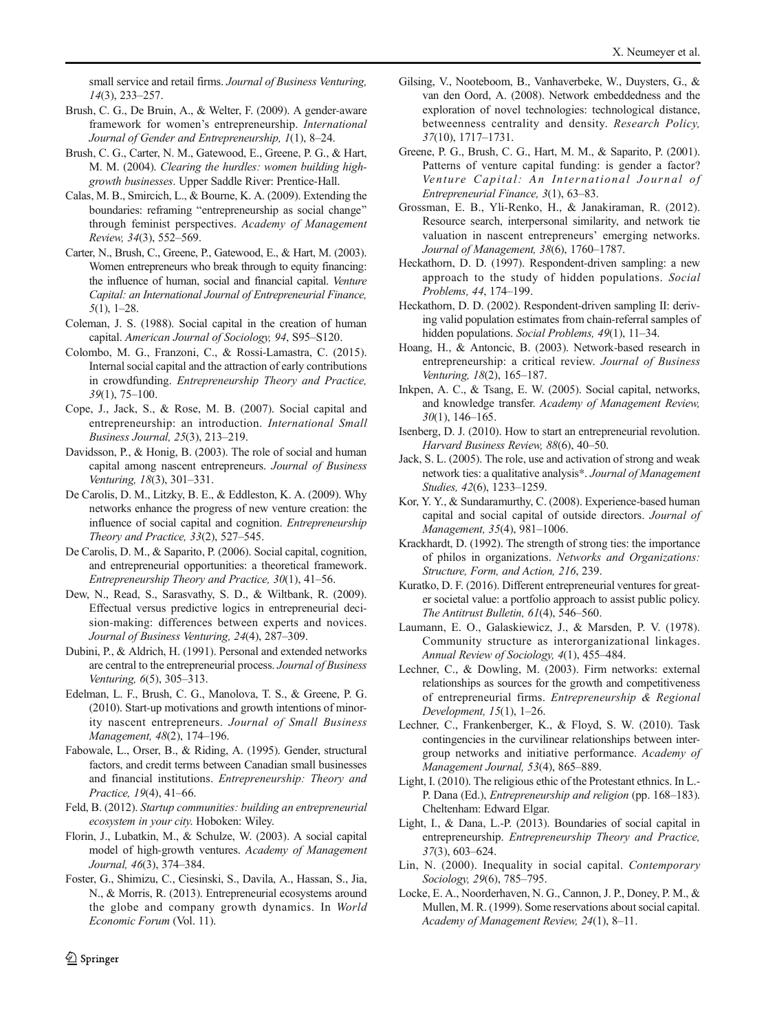<span id="page-13-0"></span>small service and retail firms. Journal of Business Venturing, 14(3), 233–257.

- Brush, C. G., De Bruin, A., & Welter, F. (2009). A gender-aware framework for women's entrepreneurship. International Journal of Gender and Entrepreneurship, 1(1), 8–24.
- Brush, C. G., Carter, N. M., Gatewood, E., Greene, P. G., & Hart, M. M. (2004). Clearing the hurdles: women building highgrowth businesses. Upper Saddle River: Prentice-Hall.
- Calas, M. B., Smircich, L., & Bourne, K. A. (2009). Extending the boundaries: reframing "entrepreneurship as social change" through feminist perspectives. Academy of Management Review, 34(3), 552–569.
- Carter, N., Brush, C., Greene, P., Gatewood, E., & Hart, M. (2003). Women entrepreneurs who break through to equity financing: the influence of human, social and financial capital. Venture Capital: an International Journal of Entrepreneurial Finance, 5(1), 1–28.
- Coleman, J. S. (1988). Social capital in the creation of human capital. American Journal of Sociology, 94, S95–S120.
- Colombo, M. G., Franzoni, C., & Rossi-Lamastra, C. (2015). Internal social capital and the attraction of early contributions in crowdfunding. Entrepreneurship Theory and Practice, 39(1), 75–100.
- Cope, J., Jack, S., & Rose, M. B. (2007). Social capital and entrepreneurship: an introduction. International Small Business Journal, 25(3), 213–219.
- Davidsson, P., & Honig, B. (2003). The role of social and human capital among nascent entrepreneurs. Journal of Business Venturing, 18(3), 301–331.
- De Carolis, D. M., Litzky, B. E., & Eddleston, K. A. (2009). Why networks enhance the progress of new venture creation: the influence of social capital and cognition. Entrepreneurship Theory and Practice, 33(2), 527–545.
- De Carolis, D. M., & Saparito, P. (2006). Social capital, cognition, and entrepreneurial opportunities: a theoretical framework. Entrepreneurship Theory and Practice, 30(1), 41–56.
- Dew, N., Read, S., Sarasvathy, S. D., & Wiltbank, R. (2009). Effectual versus predictive logics in entrepreneurial decision-making: differences between experts and novices. Journal of Business Venturing, 24(4), 287–309.
- Dubini, P., & Aldrich, H. (1991). Personal and extended networks are central to the entrepreneurial process. Journal of Business Venturing, 6(5), 305–313.
- Edelman, L. F., Brush, C. G., Manolova, T. S., & Greene, P. G. (2010). Start-up motivations and growth intentions of minority nascent entrepreneurs. Journal of Small Business Management, 48(2), 174–196.
- Fabowale, L., Orser, B., & Riding, A. (1995). Gender, structural factors, and credit terms between Canadian small businesses and financial institutions. Entrepreneurship: Theory and Practice, 19(4), 41–66.
- Feld, B. (2012). Startup communities: building an entrepreneurial ecosystem in your city. Hoboken: Wiley.
- Florin, J., Lubatkin, M., & Schulze, W. (2003). A social capital model of high-growth ventures. Academy of Management Journal, 46(3), 374–384.
- Foster, G., Shimizu, C., Ciesinski, S., Davila, A., Hassan, S., Jia, N., & Morris, R. (2013). Entrepreneurial ecosystems around the globe and company growth dynamics. In World Economic Forum (Vol. 11).
- Gilsing, V., Nooteboom, B., Vanhaverbeke, W., Duysters, G., & van den Oord, A. (2008). Network embeddedness and the exploration of novel technologies: technological distance, betweenness centrality and density. Research Policy, 37(10), 1717–1731.
- Greene, P. G., Brush, C. G., Hart, M. M., & Saparito, P. (2001). Patterns of venture capital funding: is gender a factor? Venture Capital: An International Journal of Entrepreneurial Finance, 3(1), 63–83.
- Grossman, E. B., Yli-Renko, H., & Janakiraman, R. (2012). Resource search, interpersonal similarity, and network tie valuation in nascent entrepreneurs' emerging networks. Journal of Management, 38(6), 1760–1787.
- Heckathorn, D. D. (1997). Respondent-driven sampling: a new approach to the study of hidden populations. Social Problems, 44, 174–199.
- Heckathorn, D. D. (2002). Respondent-driven sampling II: deriving valid population estimates from chain-referral samples of hidden populations. Social Problems, 49(1), 11-34.
- Hoang, H., & Antoncic, B. (2003). Network-based research in entrepreneurship: a critical review. Journal of Business Venturing, 18(2), 165–187.
- Inkpen, A. C., & Tsang, E. W. (2005). Social capital, networks, and knowledge transfer. Academy of Management Review,  $30(1)$ , 146–165.
- Isenberg, D. J. (2010). How to start an entrepreneurial revolution. Harvard Business Review, 88(6), 40–50.
- Jack, S. L. (2005). The role, use and activation of strong and weak network ties: a qualitative analysis\*. Journal of Management Studies, 42(6), 1233–1259.
- Kor, Y. Y., & Sundaramurthy, C. (2008). Experience-based human capital and social capital of outside directors. Journal of Management, 35(4), 981–1006.
- Krackhardt, D. (1992). The strength of strong ties: the importance of philos in organizations. Networks and Organizations: Structure, Form, and Action, 216, 239.
- Kuratko, D. F. (2016). Different entrepreneurial ventures for greater societal value: a portfolio approach to assist public policy. The Antitrust Bulletin, 61(4), 546–560.
- Laumann, E. O., Galaskiewicz, J., & Marsden, P. V. (1978). Community structure as interorganizational linkages. Annual Review of Sociology, 4(1), 455–484.
- Lechner, C., & Dowling, M. (2003). Firm networks: external relationships as sources for the growth and competitiveness of entrepreneurial firms. Entrepreneurship & Regional Development, 15(1), 1–26.
- Lechner, C., Frankenberger, K., & Floyd, S. W. (2010). Task contingencies in the curvilinear relationships between intergroup networks and initiative performance. Academy of Management Journal, 53(4), 865–889.
- Light, I. (2010). The religious ethic of the Protestant ethnics. In L.- P. Dana (Ed.), Entrepreneurship and religion (pp. 168–183). Cheltenham: Edward Elgar.
- Light, I., & Dana, L.-P. (2013). Boundaries of social capital in entrepreneurship. Entrepreneurship Theory and Practice, 37(3), 603–624.
- Lin, N. (2000). Inequality in social capital. Contemporary Sociology, 29(6), 785–795.
- Locke, E. A., Noorderhaven, N. G., Cannon, J. P., Doney, P. M., & Mullen, M. R. (1999). Some reservations about social capital. Academy of Management Review, 24(1), 8–11.